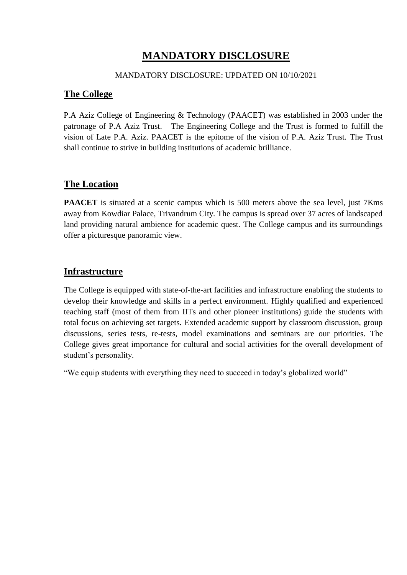# **MANDATORY DISCLOSURE**

## MANDATORY DISCLOSURE: UPDATED ON 10/10/2021

# **The College**

P.A Aziz College of Engineering & Technology (PAACET) was established in 2003 under the patronage of P.A Aziz Trust. The Engineering College and the Trust is formed to fulfill the vision of Late P.A. Aziz. PAACET is the epitome of the vision of P.A. Aziz Trust. The Trust shall continue to strive in building institutions of academic brilliance.

# **The Location**

**PAACET** is situated at a scenic campus which is 500 meters above the sea level, just 7Kms away from Kowdiar Palace, Trivandrum City. The campus is spread over 37 acres of landscaped land providing natural ambience for academic quest. The College campus and its surroundings offer a picturesque panoramic view.

# **Infrastructure**

The College is equipped with state-of-the-art facilities and infrastructure enabling the students to develop their knowledge and skills in a perfect environment. Highly qualified and experienced teaching staff (most of them from IITs and other pioneer institutions) guide the students with total focus on achieving set targets. Extended academic support by classroom discussion, group discussions, series tests, re-tests, model examinations and seminars are our priorities. The College gives great importance for cultural and social activities for the overall development of student's personality.

"We equip students with everything they need to succeed in today's globalized world"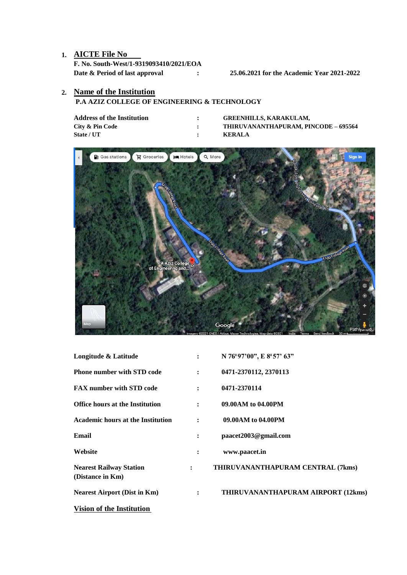## **1. AICTE File No**

**F. No. South-West/1-9319093410/2021/EOA Date & Period of last approval : 25.06.2021 for the Academic Year 2021-2022**

### **2. Name of the Institution**

### **P.A AZIZ COLLEGE OF ENGINEERING & TECHNOLOGY**

| Address of the Institution | <b>GREENHILLS, KARAKULAM.</b>        |
|----------------------------|--------------------------------------|
| City & Pin Code            | THIRUVANANTHAPURAM, PINCODE – 695564 |
| <b>State / UT</b>          | <b>KERALA</b>                        |



| Longitude & Latitude                               | $\ddot{\phantom{a}}$ | N 76°97'00", E 8°57' 63"           |
|----------------------------------------------------|----------------------|------------------------------------|
| <b>Phone number with STD code</b>                  | $\ddot{\cdot}$       | 0471-2370112, 2370113              |
| <b>FAX number with STD code</b>                    | $\ddot{\phantom{a}}$ | 0471-2370114                       |
| <b>Office hours at the Institution</b>             |                      | 09.00AM to 04.00PM                 |
| <b>Academic hours at the Institution</b>           |                      | 09.00AM to 04.00PM                 |
| Email                                              |                      | paacet2003@gmail.com               |
| Website                                            |                      | www.paacet.in                      |
| <b>Nearest Railway Station</b><br>(Distance in Km) | $\ddot{\phantom{a}}$ | THIRUVANANTHAPURAM CENTRAL (7kms)  |
| <b>Nearest Airport (Dist in Km)</b>                | $\ddot{\cdot}$       | THIRUVANANTHAPURAM AIRPORT (12kms) |
| Vision of the Institution                          |                      |                                    |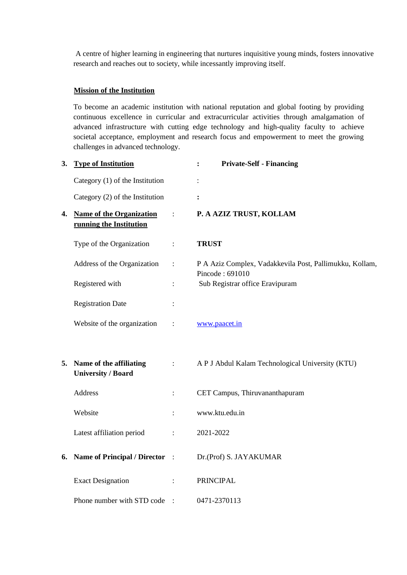A centre of higher learning in engineering that nurtures inquisitive young minds, fosters innovative research and reaches out to society, while incessantly improving itself.

#### **Mission of the Institution**

To become an academic institution with national reputation and global footing by providing continuous excellence in curricular and extracurricular activities through amalgamation of advanced infrastructure with cutting edge technology and high-quality faculty to achieve societal acceptance, employment and research focus and empowerment to meet the growing challenges in advanced technology.

| 3. | <b>Type of Institution</b>                              |                           | <b>Private-Self - Financing</b><br>$\ddot{\cdot}$                          |
|----|---------------------------------------------------------|---------------------------|----------------------------------------------------------------------------|
|    | Category $(1)$ of the Institution                       |                           | $\vdots$                                                                   |
|    | Category (2) of the Institution                         |                           | :                                                                          |
|    | 4. Name of the Organization<br>running the Institution  | $\mathcal{L}$             | P. A AZIZ TRUST, KOLLAM                                                    |
|    | Type of the Organization                                | $\ddot{\cdot}$            | <b>TRUST</b>                                                               |
|    | Address of the Organization                             | $\ddot{\cdot}$            | P A Aziz Complex, Vadakkevila Post, Pallimukku, Kollam,<br>Pincode: 691010 |
|    | Registered with                                         | $\vdots$                  | Sub Registrar office Eravipuram                                            |
|    | <b>Registration Date</b>                                | $\vdots$                  |                                                                            |
|    | Website of the organization                             | $\vdots$                  | www.paacet.in                                                              |
|    | 5. Name of the affiliating<br><b>University / Board</b> | $\mathbb{C}^2$            | A P J Abdul Kalam Technological University (KTU)                           |
|    | Address                                                 | $\ddot{\cdot}$            | CET Campus, Thiruvananthapuram                                             |
|    | Website                                                 | $\ddot{\cdot}$            | www.ktu.edu.in                                                             |
|    | Latest affiliation period                               | $\ddot{\cdot}$            | 2021-2022                                                                  |
|    | 6. Name of Principal / Director :                       |                           | Dr.(Prof) S. JAYAKUMAR                                                     |
|    | <b>Exact Designation</b>                                | $\mathbb{R}^{\mathbb{Z}}$ | <b>PRINCIPAL</b>                                                           |
|    | Phone number with STD code :                            |                           | 0471-2370113                                                               |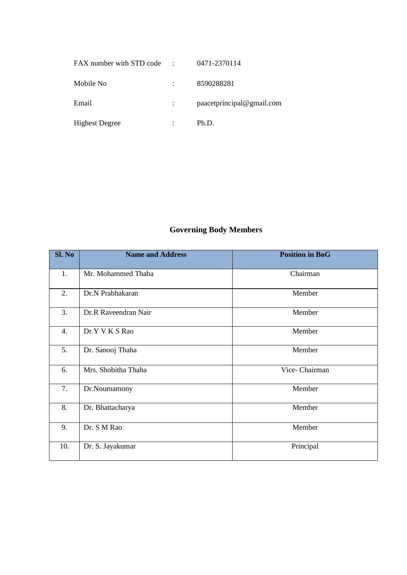| FAX number with STD code | $\ddot{\cdot}$ | 0471-2370114              |
|--------------------------|----------------|---------------------------|
| Mobile No                |                | 8590288281                |
| Email                    |                | paacetprincipal@gmail.com |
| <b>Highest Degree</b>    |                | Ph.D.                     |

# **Governing Body Members**

| Sl. No | <b>Name and Address</b> | <b>Position in BoG</b> |
|--------|-------------------------|------------------------|
| 1.     | Mr. Mohammed Thaha      | Chairman               |
| 2.     | Dr.N Prabhakaran        | Member                 |
| 3.     | Dr.R Raveendran Nair    | Member                 |
| 4.     | Dr.Y V K S Rao          | Member                 |
| 5.     | Dr. Sanooj Thaha        | Member                 |
| 6.     | Mrs. Shobitha Thaha     | Vice- Chairman         |
| 7.     | Dr.Noumamony            | Member                 |
| 8.     | Dr. Bhattacharya        | Member                 |
| 9.     | Dr. S M Rao             | Member                 |
| 10.    | Dr. S. Jayakumar        | Principal              |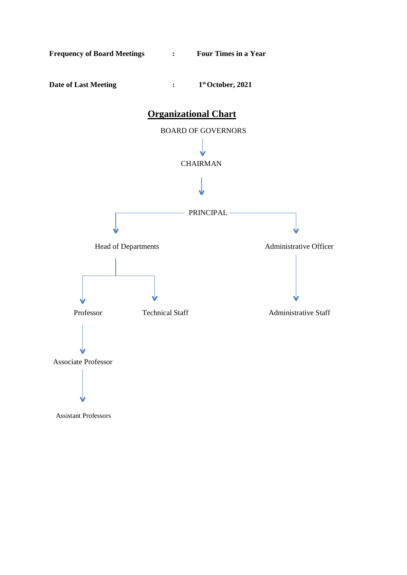

Assistant Professors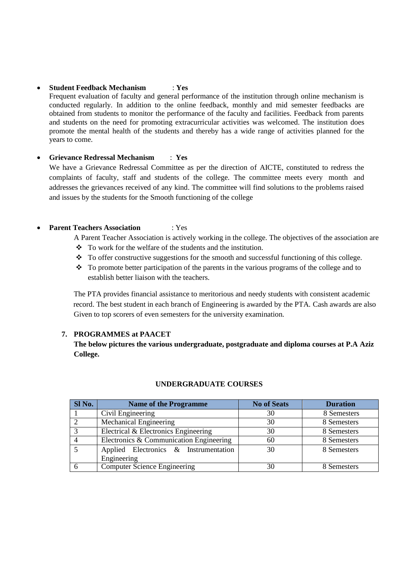#### **Student Feedback Mechanism** : **Yes**

Frequent evaluation of faculty and general performance of the institution through online mechanism is conducted regularly. In addition to the online feedback, monthly and mid semester feedbacks are obtained from students to monitor the performance of the faculty and facilities. Feedback from parents and students on the need for promoting extracurricular activities was welcomed. The institution does promote the mental health of the students and thereby has a wide range of activities planned for the years to come.

#### **Grievance Redressal Mechanism** : **Yes**

We have a Grievance Redressal Committee as per the direction of AICTE, constituted to redress the complaints of faculty, staff and students of the college. The committee meets every month and addresses the grievances received of any kind. The committee will find solutions to the problems raised and issues by the students for the Smooth functioning of the college

#### **Parent Teachers Association** : Yes

A Parent Teacher Association is actively working in the college. The objectives of the association are To work for the welfare of the students and the institution.

- $\bullet$  To offer constructive suggestions for the smooth and successful functioning of this college.
- \* To promote better participation of the parents in the various programs of the college and to establish better liaison with the teachers.

The PTA provides financial assistance to meritorious and needy students with consistent academic record. The best student in each branch of Engineering is awarded by the PTA. Cash awards are also Given to top scorers of even semesters for the university examination.

#### **7. PROGRAMMES at PAACET**

**The below pictures the various undergraduate, postgraduate and diploma courses at P.A Aziz College.**

| Sl No. | <b>Name of the Programme</b>            | <b>No of Seats</b> | <b>Duration</b> |
|--------|-----------------------------------------|--------------------|-----------------|
|        | Civil Engineering                       | 30                 | 8 Semesters     |
|        | Mechanical Engineering                  | 30                 | 8 Semesters     |
|        | Electrical & Electronics Engineering    | 30                 | 8 Semesters     |
|        | Electronics & Communication Engineering | 60                 | 8 Semesters     |
|        | Applied Electronics & Instrumentation   | 30                 | 8 Semesters     |
|        | Engineering                             |                    |                 |
|        | Computer Science Engineering            | 30                 | 8 Semesters     |

#### **UNDERGRADUATE COURSES**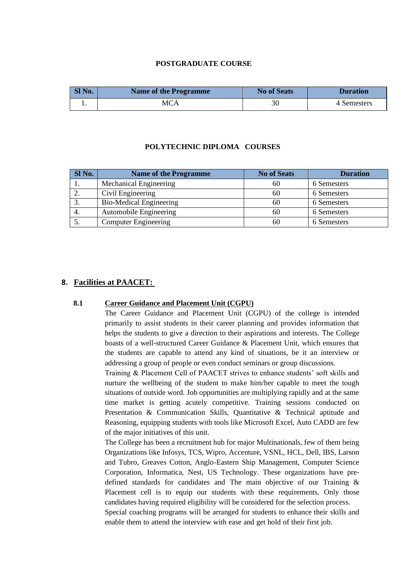#### **POSTGRADUATE COURSE**

| SI No. | Name of the Programme | <b>No of Seats</b> | <b>Duration</b> |
|--------|-----------------------|--------------------|-----------------|
|        | <b>MCA</b>            | 30                 | 4 Semesters     |

#### **POLYTECHNIC DIPLOMA COURSES**

| Sl No. | <b>Name of the Programme</b>   | <b>No of Seats</b> | <b>Duration</b> |
|--------|--------------------------------|--------------------|-----------------|
|        | <b>Mechanical Engineering</b>  | 60                 | 6 Semesters     |
| ٠.     | Civil Engineering              | 60                 | 6 Semesters     |
| 3.     | <b>Bio-Medical Engineering</b> | 60                 | 6 Semesters     |
| 4.     | Automobile Engineering         | 60                 | 6 Semesters     |
|        | <b>Computer Engineering</b>    | 60                 | 6 Semesters     |

#### **8. Facilities at PAACET:**

#### **8.1 Career Guidance and Placement Unit (CGPU)**

The Career Guidance and Placement Unit (CGPU) of the college is intended primarily to assist students in their career planning and provides information that helps the students to give a direction to their aspirations and interests. The College boasts of a well-structured Career Guidance & Placement Unit, which ensures that the students are capable to attend any kind of situations, be it an interview or addressing a group of people or even conduct seminars or group discussions.

Training & Placement Cell of PAACET strives to enhance students' soft skills and nurture the wellbeing of the student to make him/her capable to meet the tough situations of outside word. Job opportunities are multiplying rapidly and at the same time market is getting acutely competitive. Training sessions conducted on Presentation & Communication Skills, Quantitative & Technical aptitude and Reasoning, equipping students with tools like Microsoft Excel, Auto CADD are few of the major initiatives of this unit.

The College has been a recruitment hub for major Multinationals, few of them being Organizations like Infosys, TCS, Wipro, Accenture, VSNL, HCL, Dell, IBS, Larson and Tubro, Greaves Cotton, Anglo-Eastern Ship Management, Computer Science Corporation, Informatica, Nest, US Technology. These organizations have predefined standards for candidates and The main objective of our Training & Placement cell is to equip our students with these requirements. Only those candidates having required eligibility will be considered for the selection process. Special coaching programs will be arranged for students to enhance their skills and enable them to attend the interview with ease and get hold of their first job.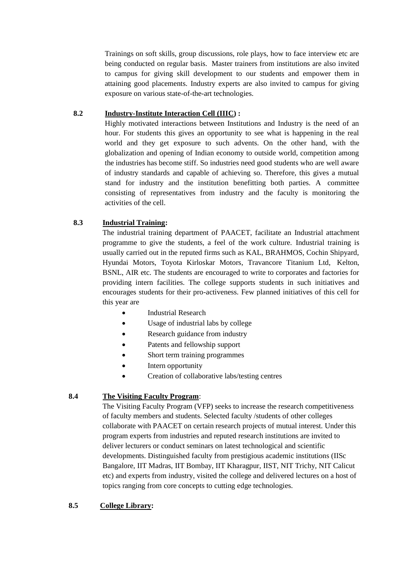Trainings on soft skills, group discussions, role plays, how to face interview etc are being conducted on regular basis. Master trainers from institutions are also invited to campus for giving skill development to our students and empower them in attaining good placements. Industry experts are also invited to campus for giving exposure on various state-of-the-art technologies.

#### **8.2 Industry-Institute Interaction Cell (IIIC) :**

Highly motivated interactions between Institutions and Industry is the need of an hour. For students this gives an opportunity to see what is happening in the real world and they get exposure to such advents. On the other hand, with the globalization and opening of Indian economy to outside world, competition among the industries has become stiff. So industries need good students who are well aware of industry standards and capable of achieving so. Therefore, this gives a mutual stand for industry and the institution benefitting both parties. A committee consisting of representatives from industry and the faculty is monitoring the activities of the cell.

#### **8.3 Industrial Training:**

The industrial training department of PAACET, facilitate an Industrial attachment programme to give the students, a feel of the work culture. Industrial training is usually carried out in the reputed firms such as KAL, BRAHMOS, Cochin Shipyard, Hyundai Motors, Toyota Kirloskar Motors, Travancore Titanium Ltd, Kelton, BSNL, AIR etc. The students are encouraged to write to corporates and factories for providing intern facilities. The college supports students in such initiatives and encourages students for their pro-activeness. Few planned initiatives of this cell for this year are

- Industrial Research
- Usage of industrial labs by college
- Research guidance from industry
- Patents and fellowship support
- Short term training programmes
- Intern opportunity
- Creation of collaborative labs/testing centres

#### **8.4 The Visiting Faculty Program**:

The Visiting Faculty Program (VFP) seeks to increase the research competitiveness of faculty members and students. Selected faculty /students of other colleges collaborate with PAACET on certain research projects of mutual interest. Under this program experts from industries and reputed research institutions are invited to deliver lecturers or conduct seminars on latest technological and scientific developments. Distinguished faculty from prestigious academic institutions (IISc Bangalore, IIT Madras, IIT Bombay, IIT Kharagpur, IIST, NIT Trichy, NIT Calicut etc) and experts from industry, visited the college and delivered lectures on a host of topics ranging from core concepts to cutting edge technologies.

#### **8.5 College Library:**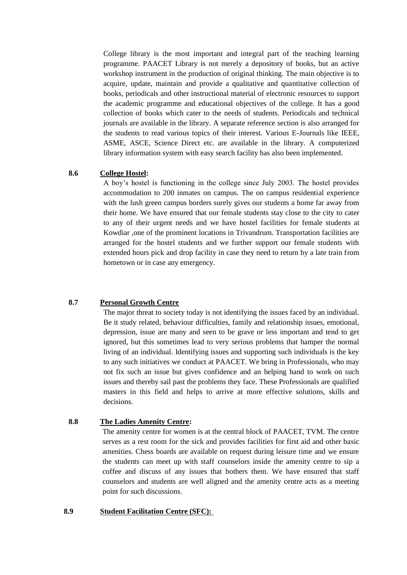College library is the most important and integral part of the teaching learning programme. PAACET Library is not merely a depository of books, but an active workshop instrument in the production of original thinking. The main objective is to acquire, update, maintain and provide a qualitative and quantitative collection of books, periodicals and other instructional material of electronic resources to support the academic programme and educational objectives of the college. It has a good collection of books which cater to the needs of students. Periodicals and technical journals are available in the library. A separate reference section is also arranged for the students to read various topics of their interest. Various E-Journals like IEEE, ASME, ASCE, Science Direct etc. are available in the library. A computerized library information system with easy search facility has also been implemented.

#### **8.6 College Hostel:**

A boy's hostel is functioning in the college since July 2003. The hostel provides accommodation to 200 inmates on campus. The on campus residential experience with the lush green campus borders surely gives our students a home far away from their home. We have ensured that our female students stay close to the city to cater to any of their urgent needs and we have hostel facilities for female students at Kowdiar ,one of the prominent locations in Trivandrum. Transportation facilities are arranged for the hostel students and we further support our female students with extended hours pick and drop facility in case they need to return by a late train from hometown or in case any emergency.

#### **8.7 Personal Growth Centre**

The major threat to society today is not identifying the issues faced by an individual. Be it study related, behaviour difficulties, family and relationship issues, emotional, depression, issue are many and seen to be grave or less important and tend to get ignored, but this sometimes lead to very serious problems that hamper the normal living of an individual. Identifying issues and supporting such individuals is the key to any such initiatives we conduct at PAACET. We bring in Professionals, who may not fix such an issue but gives confidence and an helping hand to work on such issues and thereby sail past the problems they face. These Professionals are qualified masters in this field and helps to arrive at more effective solutions, skills and decisions.

#### **8.8 The Ladies Amenity Centre:**

The amenity centre for women is at the central block of PAACET, TVM. The centre serves as a rest room for the sick and provides facilities for first aid and other basic amenities. Chess boards are available on request during leisure time and we ensure the students can meet up with staff counselors inside the amenity centre to sip a coffee and discuss of any issues that bothers them. We have ensured that staff counselors and students are well aligned and the amenity centre acts as a meeting point for such discussions.

#### **8.9 Student Facilitation Centre (SFC):**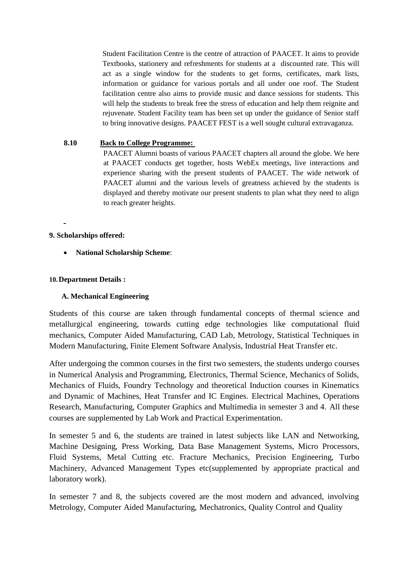Student Facilitation Centre is the centre of attraction of PAACET. It aims to provide Textbooks, stationery and refreshments for students at a discounted rate. This will act as a single window for the students to get forms, certificates, mark lists, information or guidance for various portals and all under one roof. The Student facilitation centre also aims to provide music and dance sessions for students. This will help the students to break free the stress of education and help them reignite and rejuvenate. Student Facility team has been set up under the guidance of Senior staff to bring innovative designs. PAACET FEST is a well sought cultural extravaganza.

#### **8.10 Back to College Programme:**

PAACET Alumni boasts of various PAACET chapters all around the globe. We here at PAACET conducts get together, hosts WebEx meetings, live interactions and experience sharing with the present students of PAACET. The wide network of PAACET alumni and the various levels of greatness achieved by the students is displayed and thereby motivate our present students to plan what they need to align to reach greater heights.

#### **9. Scholarships offered:**

**National Scholarship Scheme**:

#### **10.Department Details :**

#### **A. Mechanical Engineering**

Students of this course are taken through fundamental concepts of thermal science and metallurgical engineering, towards cutting edge technologies like computational fluid mechanics, Computer Aided Manufacturing, CAD Lab, Metrology, Statistical Techniques in Modern Manufacturing, Finite Element Software Analysis, Industrial Heat Transfer etc.

After undergoing the common courses in the first two semesters, the students undergo courses in Numerical Analysis and Programming, Electronics, Thermal Science, Mechanics of Solids, Mechanics of Fluids, Foundry Technology and theoretical Induction courses in Kinematics and Dynamic of Machines, Heat Transfer and IC Engines. Electrical Machines, Operations Research, Manufacturing, Computer Graphics and Multimedia in semester 3 and 4. All these courses are supplemented by Lab Work and Practical Experimentation.

In semester 5 and 6, the students are trained in latest subjects like LAN and Networking, Machine Designing, Press Working, Data Base Management Systems, Micro Processors, Fluid Systems, Metal Cutting etc. Fracture Mechanics, Precision Engineering, Turbo Machinery, Advanced Management Types etc(supplemented by appropriate practical and laboratory work).

In semester 7 and 8, the subjects covered are the most modern and advanced, involving Metrology, Computer Aided Manufacturing, Mechatronics, Quality Control and Quality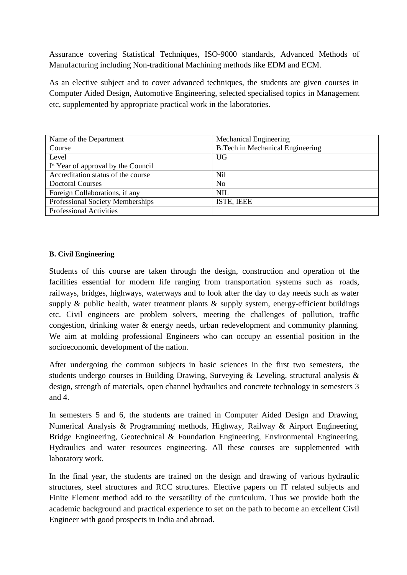Assurance covering Statistical Techniques, ISO-9000 standards, Advanced Methods of Manufacturing including Non-traditional Machining methods like EDM and ECM.

As an elective subject and to cover advanced techniques, the students are given courses in Computer Aided Design, Automotive Engineering, selected specialised topics in Management etc, supplemented by appropriate practical work in the laboratories.

| Name of the Department                          | <b>Mechanical Engineering</b>           |
|-------------------------------------------------|-----------------------------------------|
| Course                                          | <b>B.Tech in Mechanical Engineering</b> |
| Level                                           | UG                                      |
| I <sup>st</sup> Year of approval by the Council |                                         |
| Accreditation status of the course              | Nil                                     |
| <b>Doctoral Courses</b>                         | N <sub>0</sub>                          |
| Foreign Collaborations, if any                  | <b>NIL</b>                              |
| Professional Society Memberships                | ISTE, IEEE                              |
| <b>Professional Activities</b>                  |                                         |

#### **B. Civil Engineering**

Students of this course are taken through the design, construction and operation of the facilities essential for modern life ranging from transportation systems such as roads, railways, bridges, highways, waterways and to look after the day to day needs such as water supply & public health, water treatment plants & supply system, energy-efficient buildings etc. Civil engineers are problem solvers, meeting the challenges of pollution, traffic congestion, drinking water & energy needs, urban redevelopment and community planning. We aim at molding professional Engineers who can occupy an essential position in the socioeconomic development of the nation.

After undergoing the common subjects in basic sciences in the first two semesters, the students undergo courses in Building Drawing, Surveying & Leveling, structural analysis & design, strength of materials, open channel hydraulics and concrete technology in semesters 3 and 4.

In semesters 5 and 6, the students are trained in Computer Aided Design and Drawing, Numerical Analysis & Programming methods, Highway, Railway & Airport Engineering, Bridge Engineering, Geotechnical & Foundation Engineering, Environmental Engineering, Hydraulics and water resources engineering. All these courses are supplemented with laboratory work.

In the final year, the students are trained on the design and drawing of various hydraulic structures, steel structures and RCC structures. Elective papers on IT related subjects and Finite Element method add to the versatility of the curriculum. Thus we provide both the academic background and practical experience to set on the path to become an excellent Civil Engineer with good prospects in India and abroad.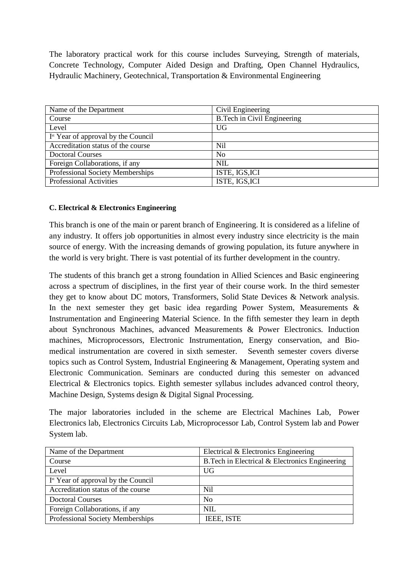The laboratory practical work for this course includes Surveying, Strength of materials, Concrete Technology, Computer Aided Design and Drafting, Open Channel Hydraulics, Hydraulic Machinery, Geotechnical, Transportation & Environmental Engineering

| Name of the Department                          | Civil Engineering                  |
|-------------------------------------------------|------------------------------------|
| Course                                          | <b>B.Tech in Civil Engineering</b> |
| Level                                           | UG                                 |
| I <sup>st</sup> Year of approval by the Council |                                    |
| Accreditation status of the course              | <b>Nil</b>                         |
| <b>Doctoral Courses</b>                         | N <sub>0</sub>                     |
| Foreign Collaborations, if any                  | <b>NIL</b>                         |
| Professional Society Memberships                | ISTE, IGS, ICI                     |
| <b>Professional Activities</b>                  | ISTE, IGS, ICI                     |

#### **C. Electrical & Electronics Engineering**

This branch is one of the main or parent branch of Engineering. It is considered as a lifeline of any industry. It offers job opportunities in almost every industry since electricity is the main source of energy. With the increasing demands of growing population, its future anywhere in the world is very bright. There is vast potential of its further development in the country.

The students of this branch get a strong foundation in Allied Sciences and Basic engineering across a spectrum of disciplines, in the first year of their course work. In the third semester they get to know about DC motors, Transformers, Solid State Devices & Network analysis. In the next semester they get basic idea regarding Power System, Measurements & Instrumentation and Engineering Material Science. In the fifth semester they learn in depth about Synchronous Machines, advanced Measurements & Power Electronics. Induction machines, Microprocessors, Electronic Instrumentation, Energy conservation, and Biomedical instrumentation are covered in sixth semester. Seventh semester covers diverse topics such as Control System, Industrial Engineering & Management, Operating system and Electronic Communication. Seminars are conducted during this semester on advanced Electrical & Electronics topics. Eighth semester syllabus includes advanced control theory, Machine Design, Systems design & Digital Signal Processing.

The major laboratories included in the scheme are Electrical Machines Lab, Power Electronics lab, Electronics Circuits Lab, Microprocessor Lab, Control System lab and Power System lab.

| Name of the Department                          | Electrical & Electronics Engineering            |
|-------------------------------------------------|-------------------------------------------------|
| Course                                          | B. Tech in Electrical & Electronics Engineering |
| Level                                           | UG                                              |
| I <sup>st</sup> Year of approval by the Council |                                                 |
| Accreditation status of the course              | Nil.                                            |
| <b>Doctoral Courses</b>                         | N <sub>0</sub>                                  |
| Foreign Collaborations, if any                  | <b>NIL</b>                                      |
| Professional Society Memberships                | IEEE, ISTE                                      |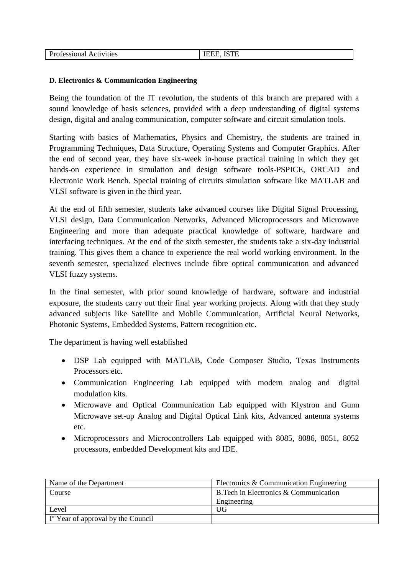| <b>Professional Activities</b> | <b>IEEE, ISTE</b> |
|--------------------------------|-------------------|
|                                |                   |
|                                |                   |

#### **D. Electronics & Communication Engineering**

Being the foundation of the IT revolution, the students of this branch are prepared with a sound knowledge of basis sciences, provided with a deep understanding of digital systems design, digital and analog communication, computer software and circuit simulation tools.

Starting with basics of Mathematics, Physics and Chemistry, the students are trained in Programming Techniques, Data Structure, Operating Systems and Computer Graphics. After the end of second year, they have six-week in-house practical training in which they get hands-on experience in simulation and design software tools-PSPICE, ORCAD and Electronic Work Bench. Special training of circuits simulation software like MATLAB and VLSI software is given in the third year.

At the end of fifth semester, students take advanced courses like Digital Signal Processing, VLSI design, Data Communication Networks, Advanced Microprocessors and Microwave Engineering and more than adequate practical knowledge of software, hardware and interfacing techniques. At the end of the sixth semester, the students take a six-day industrial training. This gives them a chance to experience the real world working environment. In the seventh semester, specialized electives include fibre optical communication and advanced VLSI fuzzy systems.

In the final semester, with prior sound knowledge of hardware, software and industrial exposure, the students carry out their final year working projects. Along with that they study advanced subjects like Satellite and Mobile Communication, Artificial Neural Networks, Photonic Systems, Embedded Systems, Pattern recognition etc.

The department is having well established

- DSP Lab equipped with MATLAB, Code Composer Studio, Texas Instruments Processors etc.
- Communication Engineering Lab equipped with modern analog and digital modulation kits.
- Microwave and Optical Communication Lab equipped with Klystron and Gunn Microwave set-up Analog and Digital Optical Link kits, Advanced antenna systems etc.
- Microprocessors and Microcontrollers Lab equipped with 8085, 8086, 8051, 8052 processors, embedded Development kits and IDE.

| Name of the Department                | Electronics & Communication Engineering        |  |
|---------------------------------------|------------------------------------------------|--|
| Course                                | $\vert$ B. Tech in Electronics & Communication |  |
|                                       | Engineering                                    |  |
| Level                                 | UG                                             |  |
| $Ist$ Year of approval by the Council |                                                |  |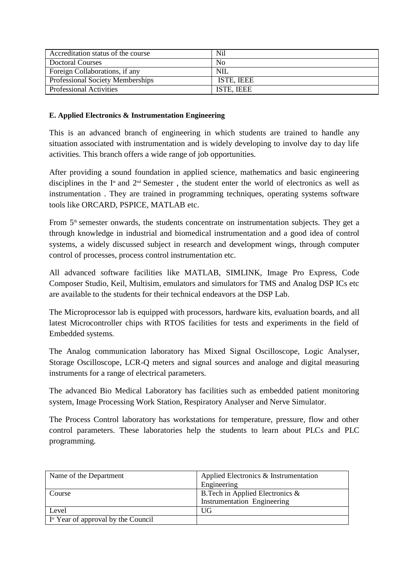| Accreditation status of the course      | Nil            |
|-----------------------------------------|----------------|
| Doctoral Courses                        | N <sub>0</sub> |
| Foreign Collaborations, if any          | NIL            |
| <b>Professional Society Memberships</b> | ISTE, IEEE     |
| <b>Professional Activities</b>          | ISTE, IEEE     |

#### **E. Applied Electronics & Instrumentation Engineering**

This is an advanced branch of engineering in which students are trained to handle any situation associated with instrumentation and is widely developing to involve day to day life activities. This branch offers a wide range of job opportunities.

After providing a sound foundation in applied science, mathematics and basic engineering disciplines in the  $I^*$  and  $2^{nd}$  Semester, the student enter the world of electronics as well as instrumentation . They are trained in programming techniques, operating systems software tools like ORCARD, PSPICE, MATLAB etc.

From 5<sup>th</sup> semester onwards, the students concentrate on instrumentation subjects. They get a through knowledge in industrial and biomedical instrumentation and a good idea of control systems, a widely discussed subject in research and development wings, through computer control of processes, process control instrumentation etc.

All advanced software facilities like MATLAB, SIMLINK, Image Pro Express, Code Composer Studio, Keil, Multisim, emulators and simulators for TMS and Analog DSP ICs etc are available to the students for their technical endeavors at the DSP Lab.

The Microprocessor lab is equipped with processors, hardware kits, evaluation boards, and all latest Microcontroller chips with RTOS facilities for tests and experiments in the field of Embedded systems.

The Analog communication laboratory has Mixed Signal Oscilloscope, Logic Analyser, Storage Oscilloscope, LCR-Q meters and signal sources and analoge and digital measuring instruments for a range of electrical parameters.

The advanced Bio Medical Laboratory has facilities such as embedded patient monitoring system, Image Processing Work Station, Respiratory Analyser and Nerve Simulator.

The Process Control laboratory has workstations for temperature, pressure, flow and other control parameters. These laboratories help the students to learn about PLCs and PLC programming.

| Name of the Department                                  | Applied Electronics & Instrumentation<br>Engineering                   |
|---------------------------------------------------------|------------------------------------------------------------------------|
| Course                                                  | B. Tech in Applied Electronics &<br><b>Instrumentation Engineering</b> |
| Level                                                   | UG                                                                     |
| $\vert$ I <sup>st</sup> Year of approval by the Council |                                                                        |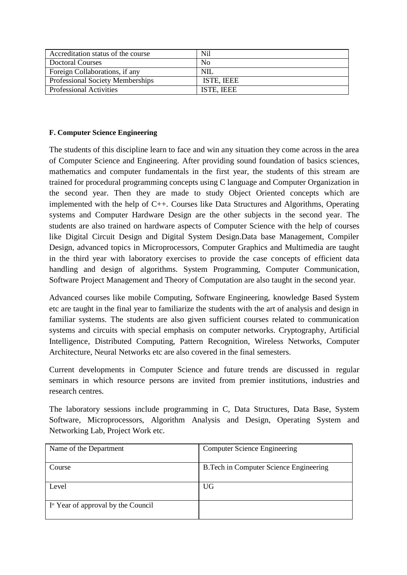| Accreditation status of the course      | <b>Nil</b> |
|-----------------------------------------|------------|
| <b>Doctoral Courses</b>                 | No         |
| Foreign Collaborations, if any          | NIL        |
| <b>Professional Society Memberships</b> | ISTE, IEEE |
| <b>Professional Activities</b>          | ISTE, IEEE |

#### **F. Computer Science Engineering**

The students of this discipline learn to face and win any situation they come across in the area of Computer Science and Engineering. After providing sound foundation of basics sciences, mathematics and computer fundamentals in the first year, the students of this stream are trained for procedural programming concepts using C language and Computer Organization in the second year. Then they are made to study Object Oriented concepts which are implemented with the help of C++. Courses like Data Structures and Algorithms, Operating systems and Computer Hardware Design are the other subjects in the second year. The students are also trained on hardware aspects of Computer Science with the help of courses like Digital Circuit Design and Digital System Design.Data base Management, Compiler Design, advanced topics in Microprocessors, Computer Graphics and Multimedia are taught in the third year with laboratory exercises to provide the case concepts of efficient data handling and design of algorithms. System Programming, Computer Communication, Software Project Management and Theory of Computation are also taught in the second year.

Advanced courses like mobile Computing, Software Engineering, knowledge Based System etc are taught in the final year to familiarize the students with the art of analysis and design in familiar systems. The students are also given sufficient courses related to communication systems and circuits with special emphasis on computer networks. Cryptography, Artificial Intelligence, Distributed Computing, Pattern Recognition, Wireless Networks, Computer Architecture, Neural Networks etc are also covered in the final semesters.

Current developments in Computer Science and future trends are discussed in regular seminars in which resource persons are invited from premier institutions, industries and research centres.

The laboratory sessions include programming in C, Data Structures, Data Base, System Software, Microprocessors, Algorithm Analysis and Design, Operating System and Networking Lab, Project Work etc.

| Name of the Department                          | <b>Computer Science Engineering</b>     |  |
|-------------------------------------------------|-----------------------------------------|--|
| Course                                          | B. Tech in Computer Science Engineering |  |
| Level                                           | UG                                      |  |
| I <sup>st</sup> Year of approval by the Council |                                         |  |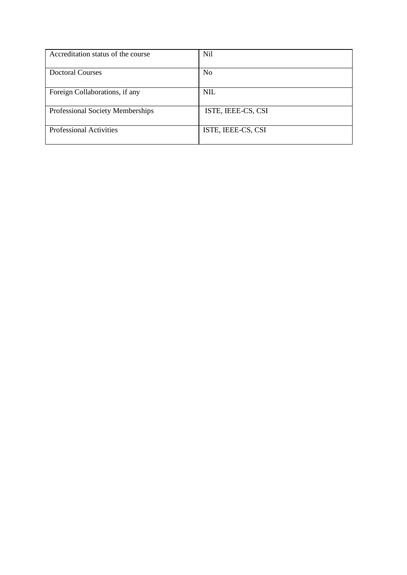| Accreditation status of the course      | Nil                |
|-----------------------------------------|--------------------|
| <b>Doctoral Courses</b>                 | N <sub>0</sub>     |
| Foreign Collaborations, if any          | NIL                |
| <b>Professional Society Memberships</b> | ISTE, IEEE-CS, CSI |
| <b>Professional Activities</b>          | ISTE, IEEE-CS, CSI |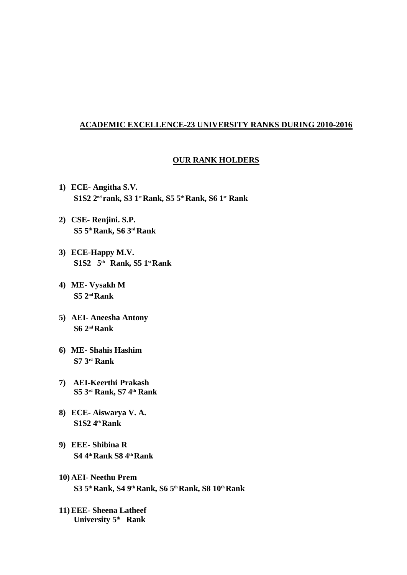#### **ACADEMIC EXCELLENCE-23 UNIVERSITY RANKS DURING 2010-2016**

#### **OUR RANK HOLDERS**

- **1) ECE- Angitha S.V. S1S2 2nd rank, S3 1st Rank, S5 5thRank, S6 1st Rank**
- **2) CSE- Renjini. S.P. S5 5thRank, S6 3rdRank**
- **3) ECE-Happy M.V. S1S2 5th Rank, S5 1st Rank**
- **4) ME- Vysakh M S5 2ndRank**
- **5) AEI- Aneesha Antony S6 2nd Rank**
- **6) ME- Shahis Hashim S7 3rd Rank**
- **7) AEI-Keerthi Prakash S5 3 rd Rank, S7 4 th Rank**
- **8) ECE- Aiswarya V. A. S1S2 4thRank**
- **9) EEE- Shibina R S4 4thRank S8 4thRank**
- **10) AEI- Neethu Prem S3 5th Rank, S4 9th Rank, S6 5thRank, S8 10thRank**
- **11)EEE- Sheena Latheef University 5th Rank**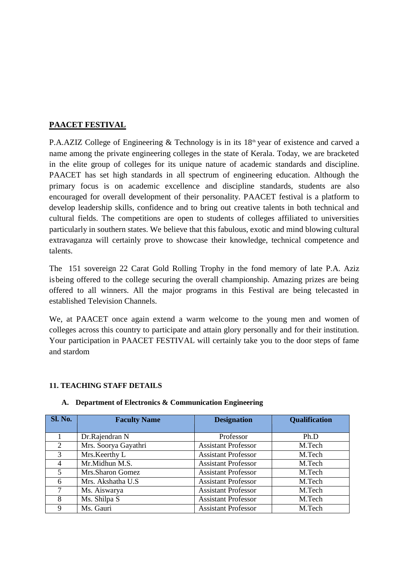## **PAACET FESTIVAL**

P.A.AZIZ College of Engineering & Technology is in its  $18<sup>th</sup>$  year of existence and carved a name among the private engineering colleges in the state of Kerala. Today, we are bracketed in the elite group of colleges for its unique nature of academic standards and discipline. PAACET has set high standards in all spectrum of engineering education. Although the primary focus is on academic excellence and discipline standards, students are also encouraged for overall development of their personality. PAACET festival is a platform to develop leadership skills, confidence and to bring out creative talents in both technical and cultural fields. The competitions are open to students of colleges affiliated to universities particularly in southern states. We believe that this fabulous, exotic and mind blowing cultural extravaganza will certainly prove to showcase their knowledge, technical competence and talents.

The 151 sovereign 22 Carat Gold Rolling Trophy in the fond memory of late P.A. Aziz isbeing offered to the college securing the overall championship. Amazing prizes are being offered to all winners. All the major programs in this Festival are being telecasted in established Television Channels.

We, at PAACET once again extend a warm welcome to the young men and women of colleges across this country to participate and attain glory personally and for their institution. Your participation in PAACET FESTIVAL will certainly take you to the door steps of fame and stardom

#### **11. TEACHING STAFF DETAILS**

| <b>Sl. No.</b>          | <b>Faculty Name</b>  | <b>Designation</b>         | <b>Qualification</b> |
|-------------------------|----------------------|----------------------------|----------------------|
|                         | Dr.Rajendran N       | Professor                  | Ph.D                 |
| 2                       | Mrs. Soorya Gayathri | <b>Assistant Professor</b> | M.Tech               |
| 3                       | Mrs. Keerthy L       | <b>Assistant Professor</b> | M.Tech               |
| $\overline{4}$          | Mr.Midhun M.S.       | <b>Assistant Professor</b> | M.Tech               |
| $\overline{\mathbf{5}}$ | Mrs. Sharon Gomez    | <b>Assistant Professor</b> | M.Tech               |
| 6                       | Mrs. Akshatha U.S.   | <b>Assistant Professor</b> | M.Tech               |
| 7                       | Ms. Aiswarya         | <b>Assistant Professor</b> | M.Tech               |
| 8                       | Ms. Shilpa S         | <b>Assistant Professor</b> | M.Tech               |
| 9                       | Ms. Gauri            | <b>Assistant Professor</b> | M.Tech               |

#### **A. Department of Electronics & Communication Engineering**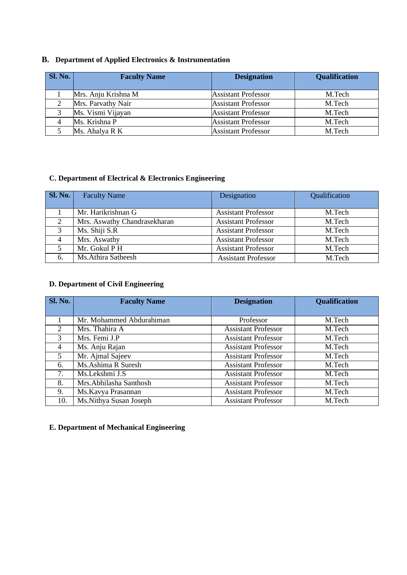## **B. Department of Applied Electronics & Instrumentation**

| Sl. No. | <b>Faculty Name</b> | <b>Designation</b>         | <b>Qualification</b> |
|---------|---------------------|----------------------------|----------------------|
|         | Mrs. Anju Krishna M | <b>Assistant Professor</b> | M.Tech               |
|         | Mrs. Parvathy Nair  | <b>Assistant Professor</b> | M.Tech               |
|         | Ms. Vismi Vijayan   | <b>Assistant Professor</b> | M.Tech               |
|         | Ms. Krishna P       | <b>Assistant Professor</b> | M.Tech               |
|         | Ms. Ahalya R K      | <b>Assistant Professor</b> | M.Tech               |

## **C. Department of Electrical & Electronics Engineering**

| Sl. No.        | <b>Faculty Name</b>          | Designation                | Qualification |
|----------------|------------------------------|----------------------------|---------------|
|                | Mr. Harikrishnan G           | <b>Assistant Professor</b> | M.Tech        |
| 2              | Mrs. Aswathy Chandrasekharan | <b>Assistant Professor</b> | M.Tech        |
| 3              | Ms. Shiji S.R                | <b>Assistant Professor</b> | M.Tech        |
| $\overline{4}$ | Mrs. Aswathy                 | <b>Assistant Professor</b> | M.Tech        |
|                | Mr. Gokul P H                | <b>Assistant Professor</b> | M.Tech        |
| 6.             | Ms.Athira Satheesh           | <b>Assistant Professor</b> | M.Tech        |

## **D. Department of Civil Engineering**

| Sl. No. | <b>Faculty Name</b>      | <b>Designation</b>         | <b>Qualification</b> |
|---------|--------------------------|----------------------------|----------------------|
|         |                          |                            |                      |
|         | Mr. Mohammed Abdurahiman | Professor                  | M.Tech               |
| 2       | Mrs. Thahira A           | <b>Assistant Professor</b> | M.Tech               |
| 3       | Mrs. Femi J.P            | <b>Assistant Professor</b> | M.Tech               |
| 4       | Ms. Anju Rajan           | <b>Assistant Professor</b> | M.Tech               |
| 5       | Mr. Ajmal Sajeev         | <b>Assistant Professor</b> | M.Tech               |
| 6.      | Ms.Ashima R Suresh       | <b>Assistant Professor</b> | M.Tech               |
| 7.      | Ms.Lekshmi J.S           | <b>Assistant Professor</b> | M.Tech               |
| 8.      | Mrs.Abhilasha Santhosh   | <b>Assistant Professor</b> | M.Tech               |
| 9.      | Ms.Kavya Prasannan       | <b>Assistant Professor</b> | M.Tech               |
| 10.     | Ms.Nithya Susan Joseph   | <b>Assistant Professor</b> | M.Tech               |

## **E. Department of Mechanical Engineering**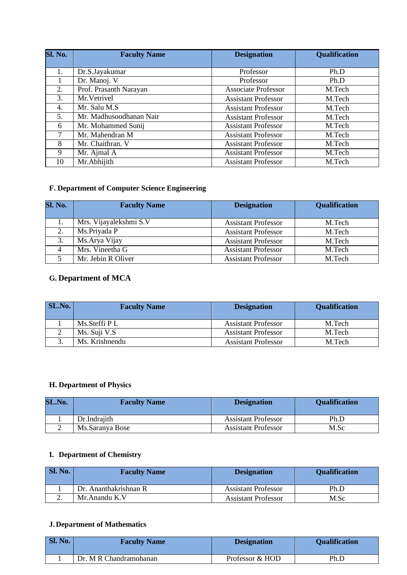| <b>Sl. No.</b> | <b>Faculty Name</b>     | <b>Designation</b>         | <b>Qualification</b> |
|----------------|-------------------------|----------------------------|----------------------|
|                |                         |                            |                      |
| 1.             | Dr.S.Jayakumar          | Professor                  | Ph.D                 |
|                | Dr. Manoj. V            | Professor                  | Ph.D                 |
| 2.             | Prof. Prasanth Narayan  | <b>Associate Professor</b> | M.Tech               |
| 3.             | Mr. Vetrivel            | <b>Assistant Professor</b> | M.Tech               |
| 4.             | Mr. Salu M.S            | <b>Assistant Professor</b> | M.Tech               |
| 5.             | Mr. Madhusoodhanan Nair | <b>Assistant Professor</b> | M.Tech               |
| 6              | Mr. Mohammed Sunij      | <b>Assistant Professor</b> | M.Tech               |
| 7              | Mr. Mahendran M         | <b>Assistant Professor</b> | M.Tech               |
| 8              | Mr. Chaithran. V        | <b>Assistant Professor</b> | M.Tech               |
| 9              | Mr. Ajmal A             | <b>Assistant Professor</b> | M.Tech               |
| 10             | Mr.Abhijith             | <b>Assistant Professor</b> | M.Tech               |

## **F. Department of Computer Science Engineering**

| Sl. No. | <b>Faculty Name</b>    | <b>Designation</b>         | <b>Qualification</b> |
|---------|------------------------|----------------------------|----------------------|
| 1.      | Mrs. Vijayalekshmi S.V | <b>Assistant Professor</b> | M.Tech               |
| 2.      | Ms.Priyada P           | <b>Assistant Professor</b> | M.Tech               |
| 3.      | Ms. Arya Vijay         | <b>Assistant Professor</b> | M.Tech               |
|         | Mrs. Vineetha G        | <b>Assistant Professor</b> | M.Tech               |
|         | Mr. Jebin R Oliver     | <b>Assistant Professor</b> | M.Tech               |

# **G. Department of MCA**

| <b>SL.No.</b> | <b>Faculty Name</b> | <b>Designation</b>         | <b>Qualification</b> |
|---------------|---------------------|----------------------------|----------------------|
|               | Ms. Steffi PL       | <b>Assistant Professor</b> | M.Tech               |
|               | Ms. Suji V.S        | <b>Assistant Professor</b> | M.Tech               |
|               | Ms. Krishnendu      | <b>Assistant Professor</b> | M.Tech               |

## **H. Department of Physics**

| SL.No. | <b>Faculty Name</b> | <b>Designation</b>         | <b>Qualification</b> |
|--------|---------------------|----------------------------|----------------------|
|        | Dr.Indrajith        | <b>Assistant Professor</b> | Ph.D                 |
|        | Ms.Saranya Bose     | <b>Assistant Professor</b> | M.Sc                 |

## **I. Department of Chemistry**

| Sl. No. | <b>Faculty Name</b>   | <b>Designation</b>         | <b>Qualification</b> |
|---------|-----------------------|----------------------------|----------------------|
|         | Dr. Ananthakrishnan R | <b>Assistant Professor</b> | Ph.D                 |
| ـ.      | Mr. Anandu K.V        | <b>Assistant Professor</b> | M.Sc                 |

## **J.Department of Mathematics**

| Sl. No. | <b>Faculty Name</b>    | <b>Designation</b> | <b>Qualification</b> |
|---------|------------------------|--------------------|----------------------|
|         | Dr. M R Chandramohanan | Professor & HOD    | Ph.D                 |